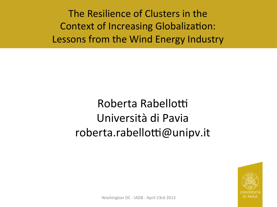The Resilience of Clusters in the Context of Increasing Globalization: Lessons from the Wind Energy Industry

> Roberta Rabellotti Università di Pavia roberta.rabellotti@unipv.it



Washington DC - IADB - April 23rd 2013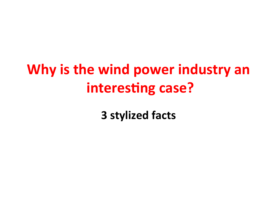## **Why is the wind power industry an interesting case?**

**3 stylized facts**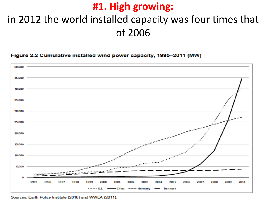### #1. High growing:

### in 2012 the world installed capacity was four times that of 2006

### Figure 2.2 Cumulative installed wind power capacity, 1995-2011 (MW)



Sources: Earth Policy Institute (2010) and WWEA (2011).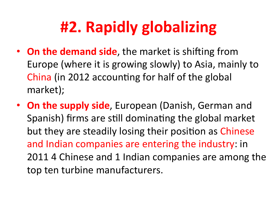## **#2. Rapidly globalizing**

- On the demand side, the market is shifting from Europe (where it is growing slowly) to Asia, mainly to China (in 2012 accounting for half of the global market);
- **On the supply side**, European (Danish, German and Spanish) firms are still dominating the global market but they are steadily losing their position as Chinese and Indian companies are entering the industry: in 2011 4 Chinese and 1 Indian companies are among the top ten turbine manufacturers.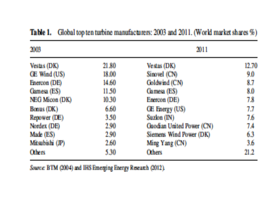| 2003            |       | 2011                      |       |
|-----------------|-------|---------------------------|-------|
| Vestas (DK)     | 21.80 | Vestas (DK)               | 12.70 |
| GE Wind (US)    | 18.00 | Sinovel (CN)              | 9.0   |
| Enercon (DE)    | 14.60 | Goldwind (CN)             | 8.7   |
| Gamesa (ES)     | 11.50 | Gamesa (ES)               | 8.0   |
| NEG Micon (DK)  | 10.30 | Enercon (DE)              | 7.8   |
| Bonus (DK)      | 6.60  | GE Energy (US)            | 7.7   |
| Repower (DE)    | 3.50  | Suzlon (IN)               | 7.6   |
| Nordex (DE)     | 2.90  | Guodian United Power (CN) | 7.4   |
| Made (ES)       | 2.90  | Siemens Wind Power (DK)   | 6.3   |
| Mitsubishi (JP) | 2.60  | Ming Yang (CN)            | 3.6   |
| <b>Others</b>   | 5.30  | <b>Others</b>             | 21.2  |

Table 1. Global top ten turbine manufacturers: 2003 and 2011. (World market shares %)

Source: BTM (2004) and IHS Emerging Energy Research (2012).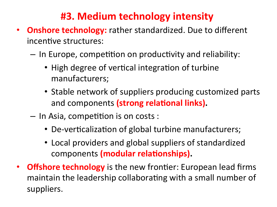### **#3. Medium technology intensity**

- **Onshore technology:** rather standardized. Due to different incentive structures:
	- $-$  In Europe, competition on productivity and reliability:
		- High degree of vertical integration of turbine manufacturers;
		- Stable network of suppliers producing customized parts and components (strong relational links).
	- $-$  In Asia, competition is on costs :
		- De-verticalization of global turbine manufacturers;
		- Local providers and global suppliers of standardized components (modular relationships).
- **Offshore technology** is the new frontier: European lead firms maintain the leadership collaborating with a small number of suppliers.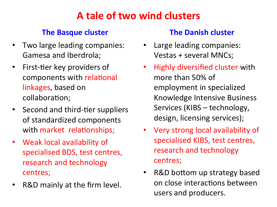### **A tale of two wind clusters**

### **The Basque cluster**

- Two large leading companies: Gamesa and Iberdrola;
- First-tier key providers of components with relational linkages, based on collaboration;
- Second and third-tier suppliers of standardized components with market relationships;
- Weak local availability of specialised BDS, test centres, research and technology centres;
- R&D mainly at the firm level.

### **The Danish cluster**

- Large leading companies: Vestas + several MNCs;
- Highly diversified cluster with more than 50% of employment in specialized Knowledge Intensive Business Services (KIBS – technology, design, licensing services);
- Very strong local availability of specialised KIBS, test centres, research and technology centres;
- R&D bottom up strategy based on close interactions between users and producers.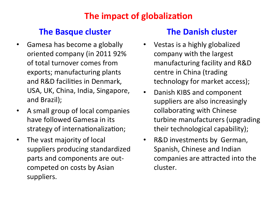### **The impact of globalization**

### **The Basque cluster The Danish cluster**

- Gamesa has become a globally oriented company (in 2011 92% of total turnover comes from exports; manufacturing plants and R&D facilities in Denmark, USA, UK, China, India, Singapore, and Brazil);
- A small group of local companies have followed Gamesa in its strategy of internationalization;
- The vast majority of local suppliers producing standardized parts and components are outcompeted on costs by Asian suppliers.

- Vestas is a highly globalized company with the largest manufacturing facility and R&D centre in China (trading technology for market access);
- Danish KIBS and component suppliers are also increasingly collaborating with Chinese turbine manufacturers (upgrading their technological capability);
- R&D investments by German, Spanish, Chinese and Indian companies are attracted into the cluster.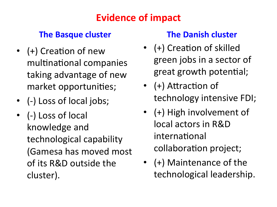### **Evidence of impact**

### **The Basque cluster**

- (+) Creation of new multinational companies taking advantage of new market opportunities;
- (-) Loss of local jobs;
- (-) Loss of local knowledge and technological capability (Gamesa has moved most of its R&D outside the cluster).

### **The Danish cluster**

- (+) Creation of skilled green jobs in a sector of great growth potential;
- $(+)$  Attraction of technology intensive FDI;
- (+) High involvement of local actors in R&D international collaboration project;
- (+) Maintenance of the technological leadership.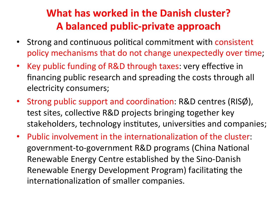### **What has worked in the Danish cluster?** A balanced public-private approach

- Strong and continuous political commitment with consistent policy mechanisms that do not change unexpectedly over time;
- Key public funding of R&D through taxes: very effective in financing public research and spreading the costs through all electricity consumers;
- Strong public support and coordination:  $R&D$  centres (RISØ), test sites, collective R&D projects bringing together key stakeholders, technology institutes, universities and companies;
- Public involvement in the internationalization of the cluster: government-to-government R&D programs (China National Renewable Energy Centre established by the Sino-Danish Renewable Energy Development Program) facilitating the internationalization of smaller companies.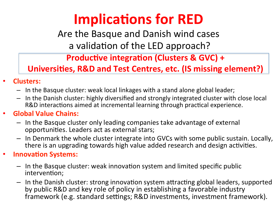## **Implications for RED**

Are the Basque and Danish wind cases a validation of the LED approach?

**Productive integration (Clusters & GVC) +** 

**Universities, R&D and Test Centres, etc. (IS missing element?)** 

- **Clusters:**
	- $-$  In the Basque cluster: weak local linkages with a stand alone global leader;
	- In the Danish cluster: highly diversified and strongly integrated cluster with close local R&D interactions aimed at incremental learning through practical experience.

### **• Global Value Chains:**

- $-$  In the Basque cluster only leading companies take advantage of external opportunities. Leaders act as external stars;
- $-$  In Denmark the whole cluster integrate into GVCs with some public sustain. Locally, there is an upgrading towards high value added research and design activities.

### **Innovation Systems:**

- $-$  In the Basque cluster: weak innovation system and limited specific public intervention;
- $-$  In the Danish cluster: strong innovation system attracting global leaders, supported by public R&D and key role of policy in establishing a favorable industry framework (e.g. standard settings; R&D investments, investment framework).